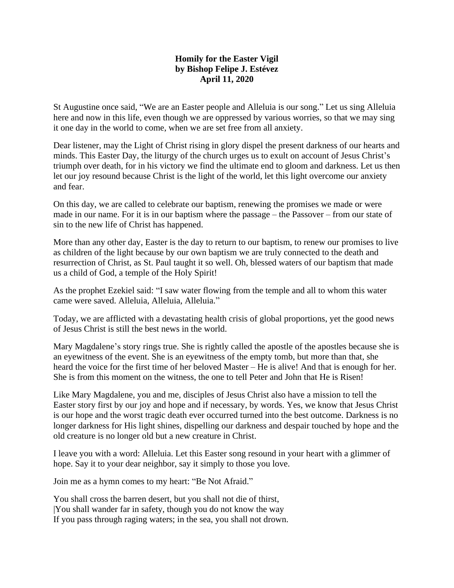## **Homily for the Easter Vigil by Bishop Felipe J. Estévez April 11, 2020**

St Augustine once said, "We are an Easter people and Alleluia is our song." Let us sing Alleluia here and now in this life, even though we are oppressed by various worries, so that we may sing it one day in the world to come, when we are set free from all anxiety.

Dear listener, may the Light of Christ rising in glory dispel the present darkness of our hearts and minds. This Easter Day, the liturgy of the church urges us to exult on account of Jesus Christ's triumph over death, for in his victory we find the ultimate end to gloom and darkness. Let us then let our joy resound because Christ is the light of the world, let this light overcome our anxiety and fear.

On this day, we are called to celebrate our baptism, renewing the promises we made or were made in our name. For it is in our baptism where the passage – the Passover – from our state of sin to the new life of Christ has happened.

More than any other day, Easter is the day to return to our baptism, to renew our promises to live as children of the light because by our own baptism we are truly connected to the death and resurrection of Christ, as St. Paul taught it so well. Oh, blessed waters of our baptism that made us a child of God, a temple of the Holy Spirit!

As the prophet Ezekiel said: "I saw water flowing from the temple and all to whom this water came were saved. Alleluia, Alleluia, Alleluia."

Today, we are afflicted with a devastating health crisis of global proportions, yet the good news of Jesus Christ is still the best news in the world.

Mary Magdalene's story rings true. She is rightly called the apostle of the apostles because she is an eyewitness of the event. She is an eyewitness of the empty tomb, but more than that, she heard the voice for the first time of her beloved Master – He is alive! And that is enough for her. She is from this moment on the witness, the one to tell Peter and John that He is Risen!

Like Mary Magdalene, you and me, disciples of Jesus Christ also have a mission to tell the Easter story first by our joy and hope and if necessary, by words. Yes, we know that Jesus Christ is our hope and the worst tragic death ever occurred turned into the best outcome. Darkness is no longer darkness for His light shines, dispelling our darkness and despair touched by hope and the old creature is no longer old but a new creature in Christ.

I leave you with a word: Alleluia. Let this Easter song resound in your heart with a glimmer of hope. Say it to your dear neighbor, say it simply to those you love.

Join me as a hymn comes to my heart: "Be Not Afraid."

You shall cross the barren desert, but you shall not die of thirst, |You shall wander far in safety, though you do not know the way If you pass through raging waters; in the sea, you shall not drown.